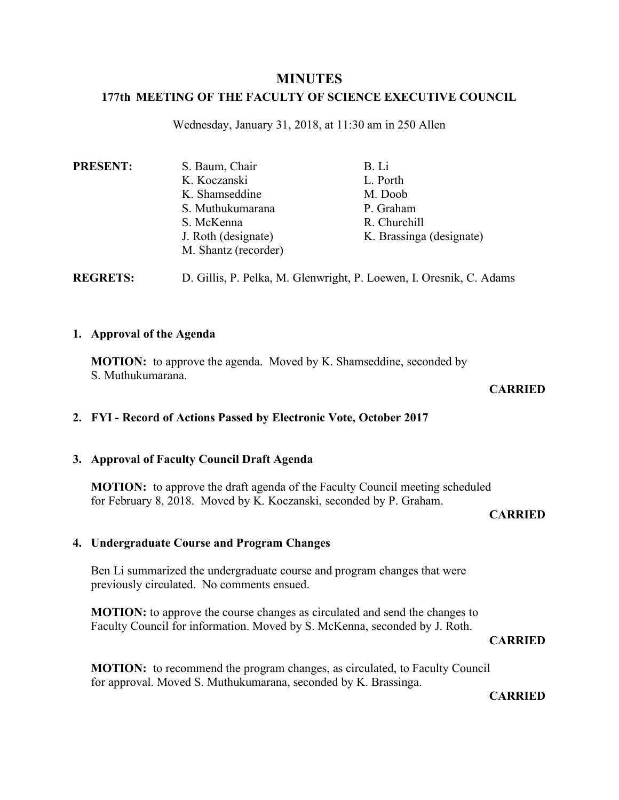## **MINUTES**

## **177th MEETING OF THE FACULTY OF SCIENCE EXECUTIVE COUNCIL**

Wednesday, January 31, 2018, at 11:30 am in 250 Allen

| <b>PRESENT:</b> | S. Baum, Chair       | B. Li                    |
|-----------------|----------------------|--------------------------|
|                 | K. Koczanski         | L. Porth                 |
|                 | K. Shamseddine       | M. Doob                  |
|                 | S. Muthukumarana     | P. Graham                |
|                 | S. McKenna           | R. Churchill             |
|                 | J. Roth (designate)  | K. Brassinga (designate) |
|                 | M. Shantz (recorder) |                          |
|                 |                      |                          |

**REGRETS:** D. Gillis, P. Pelka, M. Glenwright, P. Loewen, I. Oresnik, C. Adams

## **1. Approval of the Agenda**

**MOTION:** to approve the agenda. Moved by K. Shamseddine, seconded by S. Muthukumarana.

## **CARRIED**

## **2. FYI - Record of Actions Passed by Electronic Vote, October 2017**

## **3. Approval of Faculty Council Draft Agenda**

**MOTION:** to approve the draft agenda of the Faculty Council meeting scheduled for February 8, 2018. Moved by K. Koczanski, seconded by P. Graham.

#### **CARRIED**

## **4. Undergraduate Course and Program Changes**

Ben Li summarized the undergraduate course and program changes that were previously circulated. No comments ensued.

**MOTION:** to approve the course changes as circulated and send the changes to Faculty Council for information. Moved by S. McKenna, seconded by J. Roth.

## **CARRIED**

**MOTION:** to recommend the program changes, as circulated, to Faculty Council for approval. Moved S. Muthukumarana, seconded by K. Brassinga.

**CARRIED**